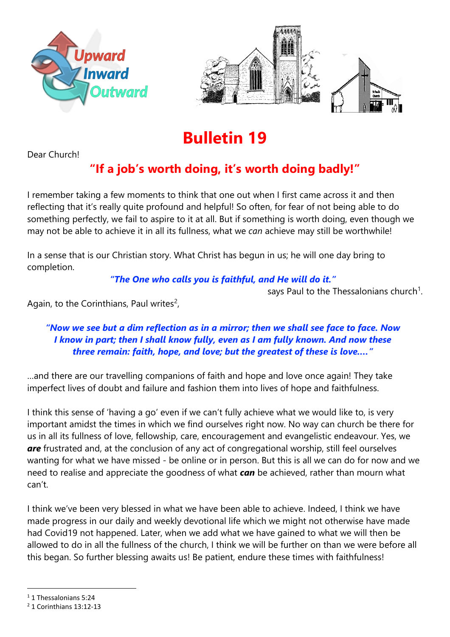



# **Bulletin 19**

Dear Church!

## **"If a job's worth doing, it's worth doing badly!"**

I remember taking a few moments to think that one out when I first came across it and then reflecting that it's really quite profound and helpful! So often, for fear of not being able to do something perfectly, we fail to aspire to it at all. But if something is worth doing, even though we may not be able to achieve it in all its fullness, what we *can* achieve may still be worthwhile!

In a sense that is our Christian story. What Christ has begun in us; he will one day bring to completion.

*"The One who calls you is faithful, and He will do it."*

says Paul to the Thessalonians church<sup>1</sup>.

Again, to the Corinthians, Paul writes<sup>2</sup>,

### *"Now we see but a dim reflection as in a mirror; then we shall see face to face. Now I know in part; then I shall know fully, even as I am fully known. And now these three remain: faith, hope, and love; but the greatest of these is love.…"*

…and there are our travelling companions of faith and hope and love once again! They take imperfect lives of doubt and failure and fashion them into lives of hope and faithfulness.

I think this sense of 'having a go' even if we can't fully achieve what we would like to, is very important amidst the times in which we find ourselves right now. No way can church be there for us in all its fullness of love, fellowship, care, encouragement and evangelistic endeavour. Yes, we *are* frustrated and, at the conclusion of any act of congregational worship, still feel ourselves wanting for what we have missed - be online or in person. But this is all we can do for now and we need to realise and appreciate the goodness of what *can* be achieved, rather than mourn what can't.

I think we've been very blessed in what we have been able to achieve. Indeed, I think we have made progress in our daily and weekly devotional life which we might not otherwise have made had Covid19 not happened. Later, when we add what we have gained to what we will then be allowed to do in all the fullness of the church, I think we will be further on than we were before all this began. So further blessing awaits us! Be patient, endure these times with faithfulness!

<sup>1</sup> 1 Thessalonians 5:24

<sup>2</sup> 1 Corinthians 13:12-13